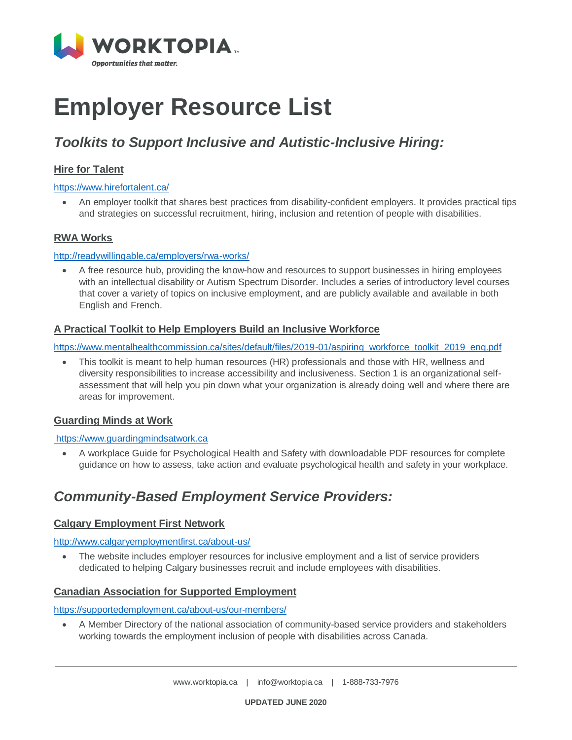

# **Employer Resource List**

# *Toolkits to Support Inclusive and Autistic-Inclusive Hiring:*

### **[Hire for Talent](https://www.hirefortalent.ca/)**

### <https://www.hirefortalent.ca/>

 An employer toolkit that shares best practices from disability-confident employers. It provides practical tips and strategies on successful recruitment, hiring, inclusion and retention of people with disabilities.

### **[RWA Works](http://readywillingable.ca/employers/rwa-works/)**

### <http://readywillingable.ca/employers/rwa-works/>

 A free resource hub, providing the know-how and resources to support businesses in hiring employees with an intellectual disability or Autism Spectrum Disorder. Includes a series of introductory level courses that cover a variety of topics on inclusive employment, and are publicly available and available in both English and French.

### **[A Practical Toolkit to Help Employers Build an Inclusive Workforce](https://www.mentalhealthcommission.ca/sites/default/files/2019-01/aspiring_workforce_toolkit_2019_eng.pdf)**

https://www.mentalhealthcommission.ca/sites/default/files/2019-01/aspiring\_workforce\_toolkit\_2019\_eng.pdf

 This toolkit is meant to help human resources (HR) professionals and those with HR, wellness and diversity responsibilities to increase accessibility and inclusiveness. Section 1 is an organizational selfassessment that will help you pin down what your organization is already doing well and where there are areas for improvement.

### **[Guarding Minds at Work](https://www.guardingmindsatwork.ca/)**

### [https://www.guardingmindsatwork.ca](https://www.guardingmindsatwork.ca/)

 A workplace Guide for Psychological Health and Safety with downloadable PDF resources for complete guidance on how to assess, take action and evaluate psychological health and safety in your workplace.

### *Community-Based Employment Service Providers:*

### **[Calgary Employment First Network](http://www.calgaryemploymentfirst.ca/about-us/)**

### <http://www.calgaryemploymentfirst.ca/about-us/>

• The website includes employer resources for inclusive employment and a list of service providers dedicated to helping Calgary businesses recruit and include employees with disabilities.

### **[Canadian Association for Supported Employment](https://www.supportedemployment.ca/member-directory/)**

<https://supportedemployment.ca/about-us/our-members/>

 A Member Directory of the national association of community-based service providers and stakeholders working towards the employment inclusion of people with disabilities across Canada.

**UPDATED JUNE 2020**